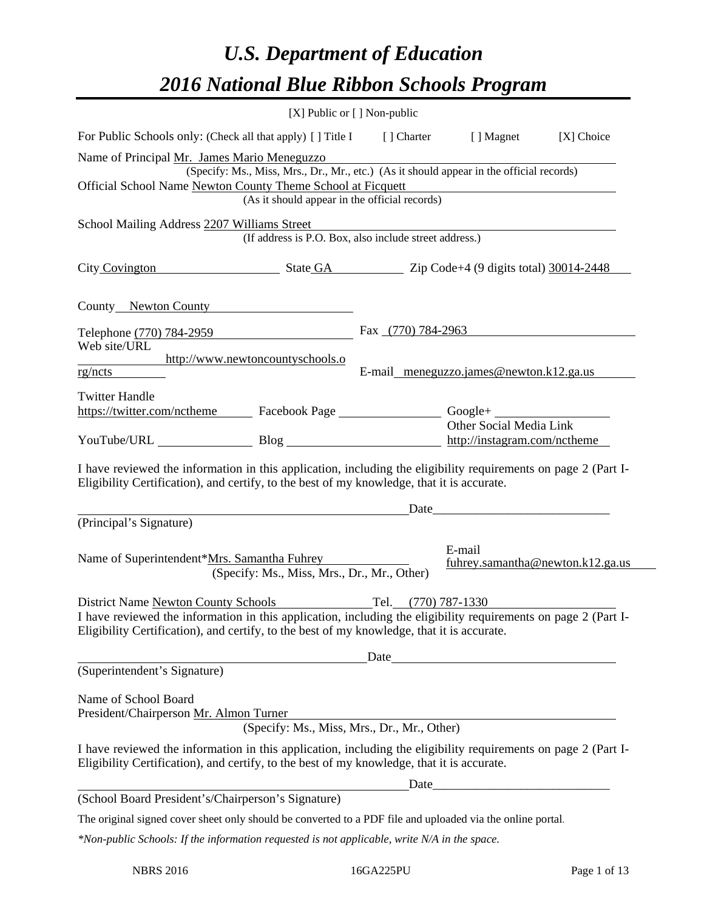# *U.S. Department of Education 2016 National Blue Ribbon Schools Program*

|                                                                                                                                                                                                                                                     |                                                                                                                                           | [X] Public or [] Non-public |                                                                                                                                                                                                                               |            |
|-----------------------------------------------------------------------------------------------------------------------------------------------------------------------------------------------------------------------------------------------------|-------------------------------------------------------------------------------------------------------------------------------------------|-----------------------------|-------------------------------------------------------------------------------------------------------------------------------------------------------------------------------------------------------------------------------|------------|
| For Public Schools only: (Check all that apply) [] Title I                                                                                                                                                                                          |                                                                                                                                           |                             | [] Charter [] Magnet                                                                                                                                                                                                          | [X] Choice |
| Name of Principal Mr. James Mario Meneguzzo<br>Official School Name Newton County Theme School at Ficquett                                                                                                                                          | (Specify: Ms., Miss, Mrs., Dr., Mr., etc.) (As it should appear in the official records)<br>(As it should appear in the official records) |                             |                                                                                                                                                                                                                               |            |
| School Mailing Address 2207 Williams Street                                                                                                                                                                                                         |                                                                                                                                           |                             |                                                                                                                                                                                                                               |            |
|                                                                                                                                                                                                                                                     | (If address is P.O. Box, also include street address.)                                                                                    |                             |                                                                                                                                                                                                                               |            |
| City Covington State GA Zip Code+4 (9 digits total) 30014-2448                                                                                                                                                                                      |                                                                                                                                           |                             |                                                                                                                                                                                                                               |            |
| County Newton County                                                                                                                                                                                                                                |                                                                                                                                           |                             |                                                                                                                                                                                                                               |            |
| Telephone (770) 784-2959                                                                                                                                                                                                                            |                                                                                                                                           | Fax (770) 784-2963          |                                                                                                                                                                                                                               |            |
| Web site/URL<br>http://www.newtoncountyschools.o                                                                                                                                                                                                    |                                                                                                                                           |                             |                                                                                                                                                                                                                               |            |
| rg/ncts                                                                                                                                                                                                                                             |                                                                                                                                           |                             | E-mail meneguzzo.james@newton.k12.ga.us                                                                                                                                                                                       |            |
| <b>Twitter Handle</b><br>https://twitter.com/nctheme Facebook Page Google+                                                                                                                                                                          |                                                                                                                                           |                             | Other Social Media Link                                                                                                                                                                                                       |            |
| YouTube/URL Blog Blog http://instagram.com/nctheme                                                                                                                                                                                                  |                                                                                                                                           |                             |                                                                                                                                                                                                                               |            |
| I have reviewed the information in this application, including the eligibility requirements on page 2 (Part I-<br>Eligibility Certification), and certify, to the best of my knowledge, that it is accurate.                                        |                                                                                                                                           |                             | Date experience and the set of the set of the set of the set of the set of the set of the set of the set of the set of the set of the set of the set of the set of the set of the set of the set of the set of the set of the |            |
| (Principal's Signature)                                                                                                                                                                                                                             |                                                                                                                                           |                             |                                                                                                                                                                                                                               |            |
| Name of Superintendent*Mrs. Samantha Fuhrey                                                                                                                                                                                                         | (Specify: Ms., Miss, Mrs., Dr., Mr., Other)                                                                                               |                             | E-mail<br>fuhrey.samantha@newton.k12.ga.us                                                                                                                                                                                    |            |
| District Name Newton County Schools<br>I have reviewed the information in this application, including the eligibility requirements on page 2 (Part I-<br>Eligibility Certification), and certify, to the best of my knowledge, that it is accurate. |                                                                                                                                           | Tel. (770) 787-1330         |                                                                                                                                                                                                                               |            |
|                                                                                                                                                                                                                                                     |                                                                                                                                           |                             | Date                                                                                                                                                                                                                          |            |
| (Superintendent's Signature)                                                                                                                                                                                                                        |                                                                                                                                           |                             |                                                                                                                                                                                                                               |            |
| Name of School Board<br>President/Chairperson Mr. Almon Turner                                                                                                                                                                                      | on 1 urner<br>(Specify: Ms., Miss, Mrs., Dr., Mr., Other)                                                                                 |                             |                                                                                                                                                                                                                               |            |
| I have reviewed the information in this application, including the eligibility requirements on page 2 (Part I-<br>Eligibility Certification), and certify, to the best of my knowledge, that it is accurate.                                        |                                                                                                                                           |                             |                                                                                                                                                                                                                               |            |
|                                                                                                                                                                                                                                                     |                                                                                                                                           |                             |                                                                                                                                                                                                                               |            |
| The original signed cover sheet only should be converted to a PDF file and uploaded via the online portal.                                                                                                                                          |                                                                                                                                           |                             |                                                                                                                                                                                                                               |            |
| *Non-public Schools: If the information requested is not applicable, write N/A in the space.                                                                                                                                                        |                                                                                                                                           |                             |                                                                                                                                                                                                                               |            |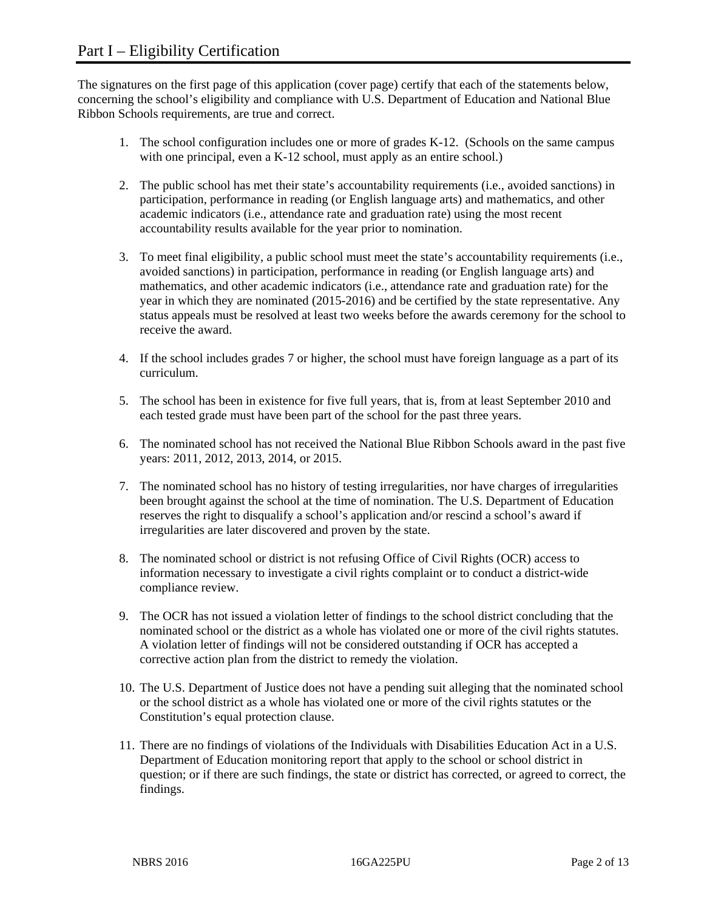The signatures on the first page of this application (cover page) certify that each of the statements below, concerning the school's eligibility and compliance with U.S. Department of Education and National Blue Ribbon Schools requirements, are true and correct.

- 1. The school configuration includes one or more of grades K-12. (Schools on the same campus with one principal, even a K-12 school, must apply as an entire school.)
- 2. The public school has met their state's accountability requirements (i.e., avoided sanctions) in participation, performance in reading (or English language arts) and mathematics, and other academic indicators (i.e., attendance rate and graduation rate) using the most recent accountability results available for the year prior to nomination.
- 3. To meet final eligibility, a public school must meet the state's accountability requirements (i.e., avoided sanctions) in participation, performance in reading (or English language arts) and mathematics, and other academic indicators (i.e., attendance rate and graduation rate) for the year in which they are nominated (2015-2016) and be certified by the state representative. Any status appeals must be resolved at least two weeks before the awards ceremony for the school to receive the award.
- 4. If the school includes grades 7 or higher, the school must have foreign language as a part of its curriculum.
- 5. The school has been in existence for five full years, that is, from at least September 2010 and each tested grade must have been part of the school for the past three years.
- 6. The nominated school has not received the National Blue Ribbon Schools award in the past five years: 2011, 2012, 2013, 2014, or 2015.
- 7. The nominated school has no history of testing irregularities, nor have charges of irregularities been brought against the school at the time of nomination. The U.S. Department of Education reserves the right to disqualify a school's application and/or rescind a school's award if irregularities are later discovered and proven by the state.
- 8. The nominated school or district is not refusing Office of Civil Rights (OCR) access to information necessary to investigate a civil rights complaint or to conduct a district-wide compliance review.
- 9. The OCR has not issued a violation letter of findings to the school district concluding that the nominated school or the district as a whole has violated one or more of the civil rights statutes. A violation letter of findings will not be considered outstanding if OCR has accepted a corrective action plan from the district to remedy the violation.
- 10. The U.S. Department of Justice does not have a pending suit alleging that the nominated school or the school district as a whole has violated one or more of the civil rights statutes or the Constitution's equal protection clause.
- 11. There are no findings of violations of the Individuals with Disabilities Education Act in a U.S. Department of Education monitoring report that apply to the school or school district in question; or if there are such findings, the state or district has corrected, or agreed to correct, the findings.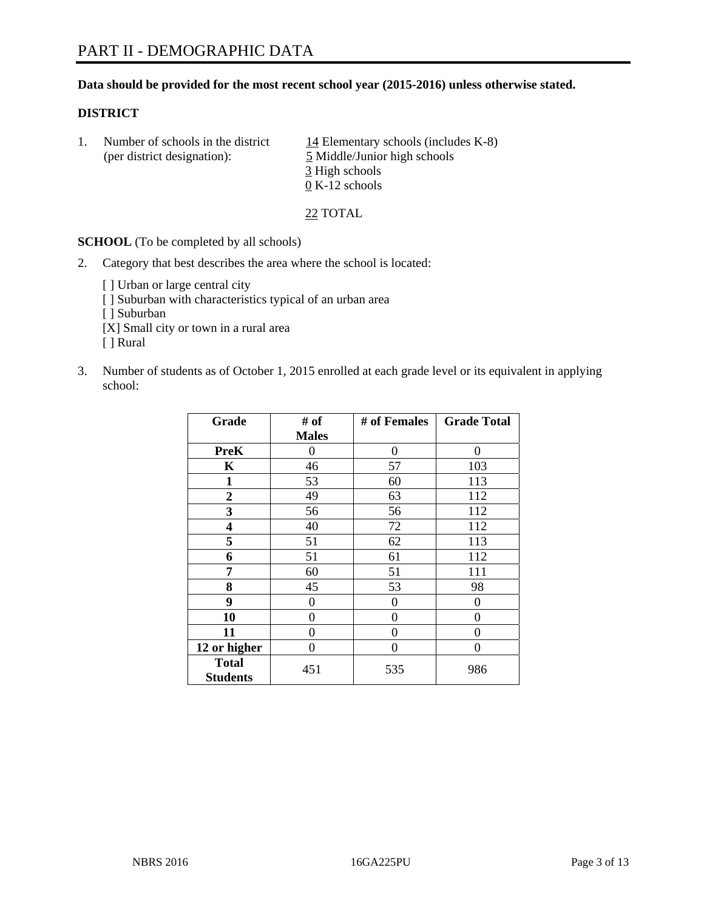### **Data should be provided for the most recent school year (2015-2016) unless otherwise stated.**

### **DISTRICT**

1. Number of schools in the district  $14$  Elementary schools (includes K-8) (per district designation): 5 Middle/Junior high schools 3 High schools 0 K-12 schools

22 TOTAL

**SCHOOL** (To be completed by all schools)

- 2. Category that best describes the area where the school is located:
	- [] Urban or large central city [ ] Suburban with characteristics typical of an urban area [ ] Suburban [X] Small city or town in a rural area [ ] Rural
- 3. Number of students as of October 1, 2015 enrolled at each grade level or its equivalent in applying school:

| Grade                           | # of         | # of Females | <b>Grade Total</b> |
|---------------------------------|--------------|--------------|--------------------|
|                                 | <b>Males</b> |              |                    |
| <b>PreK</b>                     | 0            | 0            | 0                  |
| $\mathbf K$                     | 46           | 57           | 103                |
| 1                               | 53           | 60           | 113                |
| $\overline{2}$                  | 49           | 63           | 112                |
| 3                               | 56           | 56           | 112                |
| $\overline{\mathbf{4}}$         | 40           | 72           | 112                |
| 5                               | 51           | 62           | 113                |
| 6                               | 51           | 61           | 112                |
| 7                               | 60           | 51           | 111                |
| 8                               | 45           | 53           | 98                 |
| 9                               | 0            | 0            | 0                  |
| 10                              | 0            | $\theta$     | $\Omega$           |
| 11                              | $\Omega$     | 0            | $\Omega$           |
| 12 or higher                    | 0            | 0            | $\Omega$           |
| <b>Total</b><br><b>Students</b> | 451          | 535          | 986                |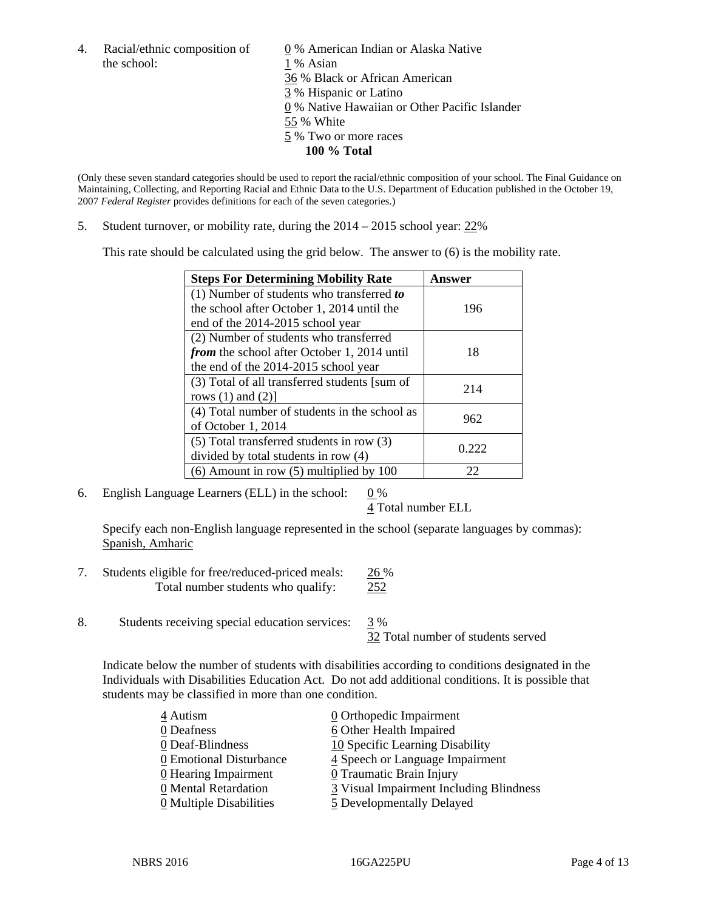the school: 1 % Asian

4. Racial/ethnic composition of  $\qquad 0\%$  American Indian or Alaska Native 36 % Black or African American 3 % Hispanic or Latino 0 % Native Hawaiian or Other Pacific Islander 55 % White 5 % Two or more races **100 % Total** 

(Only these seven standard categories should be used to report the racial/ethnic composition of your school. The Final Guidance on Maintaining, Collecting, and Reporting Racial and Ethnic Data to the U.S. Department of Education published in the October 19, 2007 *Federal Register* provides definitions for each of the seven categories.)

5. Student turnover, or mobility rate, during the  $2014 - 2015$  school year:  $22\%$ 

This rate should be calculated using the grid below. The answer to (6) is the mobility rate.

| <b>Steps For Determining Mobility Rate</b>         | Answer |  |
|----------------------------------------------------|--------|--|
| $(1)$ Number of students who transferred to        |        |  |
| the school after October 1, 2014 until the         | 196    |  |
| end of the 2014-2015 school year                   |        |  |
| (2) Number of students who transferred             |        |  |
| <i>from</i> the school after October 1, 2014 until | 18     |  |
| the end of the 2014-2015 school year               |        |  |
| (3) Total of all transferred students [sum of      | 214    |  |
| rows $(1)$ and $(2)$ ]                             |        |  |
| (4) Total number of students in the school as      | 962    |  |
| of October 1, 2014                                 |        |  |
| (5) Total transferred students in row (3)          | 0.222  |  |
| divided by total students in row (4)               |        |  |
| $(6)$ Amount in row $(5)$ multiplied by 100        | 22     |  |

6. English Language Learners (ELL) in the school:  $0\%$ 

4 Total number ELL

 Specify each non-English language represented in the school (separate languages by commas): Spanish, Amharic

- 7. Students eligible for free/reduced-priced meals: 26 % Total number students who qualify: 252
- 8. Students receiving special education services: 3 %

32 Total number of students served

Indicate below the number of students with disabilities according to conditions designated in the Individuals with Disabilities Education Act. Do not add additional conditions. It is possible that students may be classified in more than one condition.

| 4 Autism                              | $\underline{0}$ Orthopedic Impairment   |
|---------------------------------------|-----------------------------------------|
| 0 Deafness                            | 6 Other Health Impaired                 |
| 0 Deaf-Blindness                      | 10 Specific Learning Disability         |
| 0 Emotional Disturbance               | 4 Speech or Language Impairment         |
| 0 Hearing Impairment                  | 0 Traumatic Brain Injury                |
| 0 Mental Retardation                  | 3 Visual Impairment Including Blindness |
| $\underline{0}$ Multiple Disabilities | 5 Developmentally Delayed               |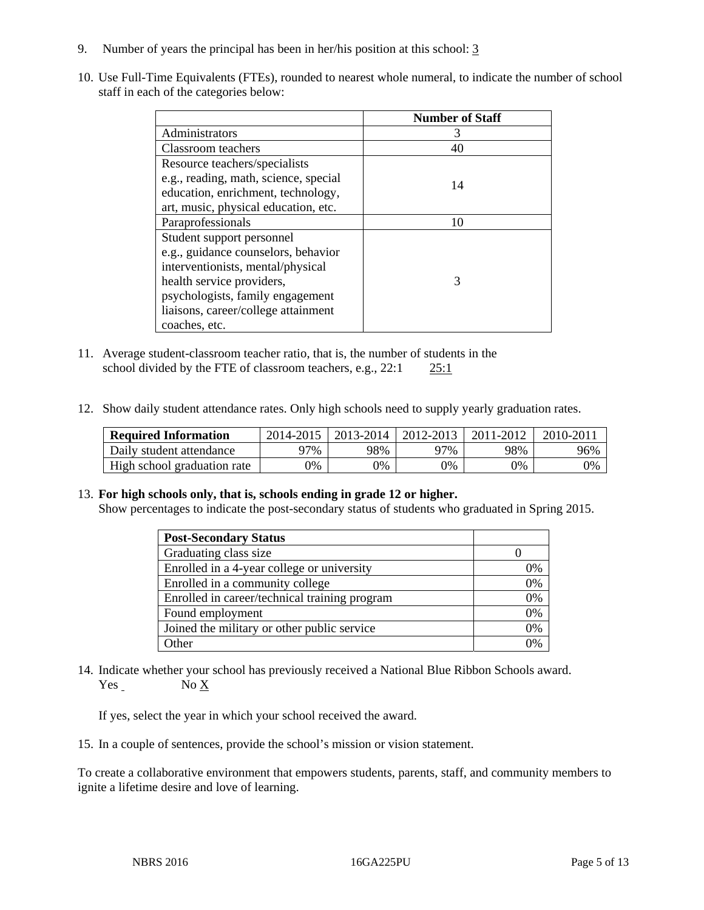- 9. Number of years the principal has been in her/his position at this school: 3
- 10. Use Full-Time Equivalents (FTEs), rounded to nearest whole numeral, to indicate the number of school staff in each of the categories below:

|                                       | <b>Number of Staff</b> |
|---------------------------------------|------------------------|
| Administrators                        |                        |
| Classroom teachers                    | 40                     |
| Resource teachers/specialists         |                        |
| e.g., reading, math, science, special | 14                     |
| education, enrichment, technology,    |                        |
| art, music, physical education, etc.  |                        |
| Paraprofessionals                     | 10                     |
| Student support personnel             |                        |
| e.g., guidance counselors, behavior   |                        |
| interventionists, mental/physical     |                        |
| health service providers,             | 3                      |
| psychologists, family engagement      |                        |
| liaisons, career/college attainment   |                        |
| coaches, etc.                         |                        |

- 11. Average student-classroom teacher ratio, that is, the number of students in the school divided by the FTE of classroom teachers, e.g., 22:1 25:1
- 12. Show daily student attendance rates. Only high schools need to supply yearly graduation rates.

| <b>Required Information</b> | 2014-2015 | 2013-2014 l | 2012-2013 | 2011-2012 | 2010-2011 |
|-----------------------------|-----------|-------------|-----------|-----------|-----------|
| Daily student attendance    | 77%       | 98%         | 97%       | 98%       | 96%       |
| High school graduation rate | $9\%$     | $0\%$       | 0%        | 9%        | 0%        |

#### 13. **For high schools only, that is, schools ending in grade 12 or higher.**

Show percentages to indicate the post-secondary status of students who graduated in Spring 2015.

| <b>Post-Secondary Status</b>                  |    |
|-----------------------------------------------|----|
| Graduating class size                         |    |
| Enrolled in a 4-year college or university    | 0% |
| Enrolled in a community college               | 0% |
| Enrolled in career/technical training program | 0% |
| Found employment                              | 0% |
| Joined the military or other public service   | 0% |
| <b>Other</b>                                  |    |

14. Indicate whether your school has previously received a National Blue Ribbon Schools award. Yes No X

If yes, select the year in which your school received the award.

15. In a couple of sentences, provide the school's mission or vision statement.

To create a collaborative environment that empowers students, parents, staff, and community members to ignite a lifetime desire and love of learning.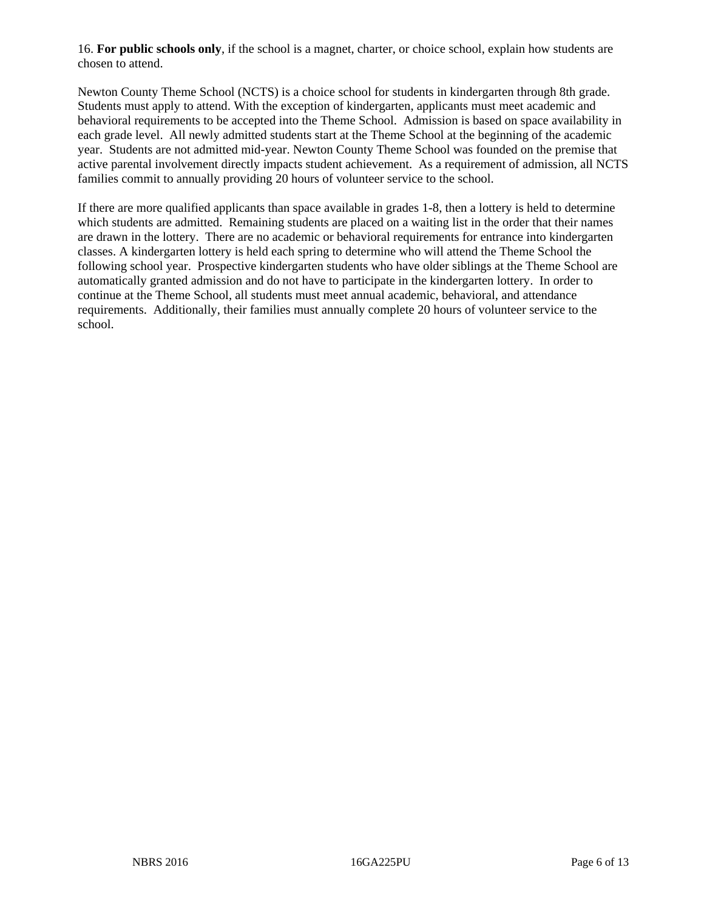16. **For public schools only**, if the school is a magnet, charter, or choice school, explain how students are chosen to attend.

Newton County Theme School (NCTS) is a choice school for students in kindergarten through 8th grade. Students must apply to attend. With the exception of kindergarten, applicants must meet academic and behavioral requirements to be accepted into the Theme School. Admission is based on space availability in each grade level. All newly admitted students start at the Theme School at the beginning of the academic year. Students are not admitted mid-year. Newton County Theme School was founded on the premise that active parental involvement directly impacts student achievement. As a requirement of admission, all NCTS families commit to annually providing 20 hours of volunteer service to the school.

If there are more qualified applicants than space available in grades 1-8, then a lottery is held to determine which students are admitted. Remaining students are placed on a waiting list in the order that their names are drawn in the lottery. There are no academic or behavioral requirements for entrance into kindergarten classes. A kindergarten lottery is held each spring to determine who will attend the Theme School the following school year. Prospective kindergarten students who have older siblings at the Theme School are automatically granted admission and do not have to participate in the kindergarten lottery. In order to continue at the Theme School, all students must meet annual academic, behavioral, and attendance requirements. Additionally, their families must annually complete 20 hours of volunteer service to the school.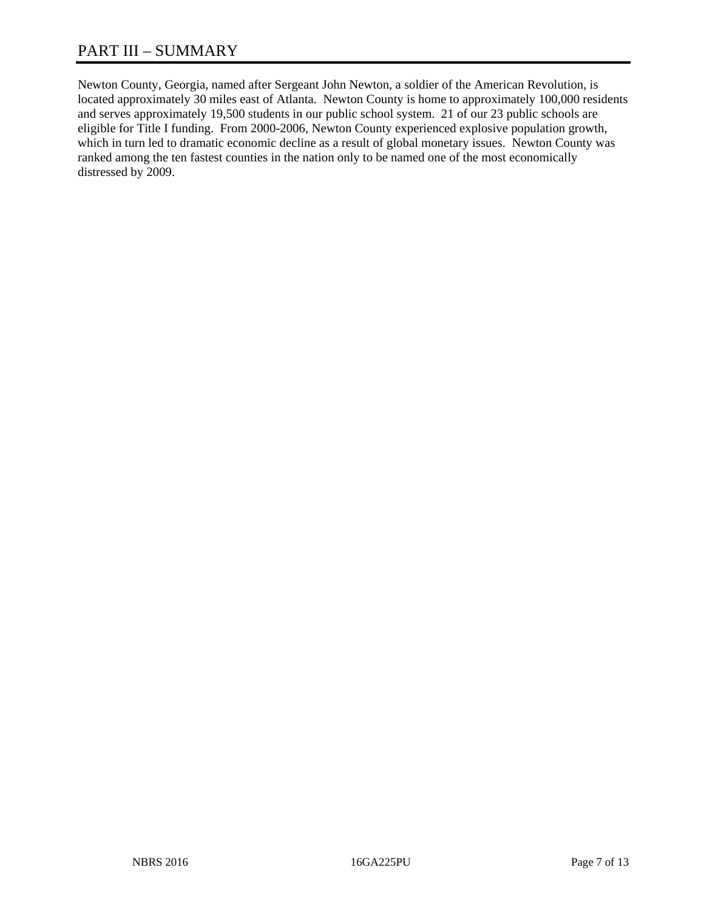# PART III – SUMMARY

Newton County, Georgia, named after Sergeant John Newton, a soldier of the American Revolution, is located approximately 30 miles east of Atlanta. Newton County is home to approximately 100,000 residents and serves approximately 19,500 students in our public school system. 21 of our 23 public schools are eligible for Title I funding. From 2000-2006, Newton County experienced explosive population growth, which in turn led to dramatic economic decline as a result of global monetary issues. Newton County was ranked among the ten fastest counties in the nation only to be named one of the most economically distressed by 2009.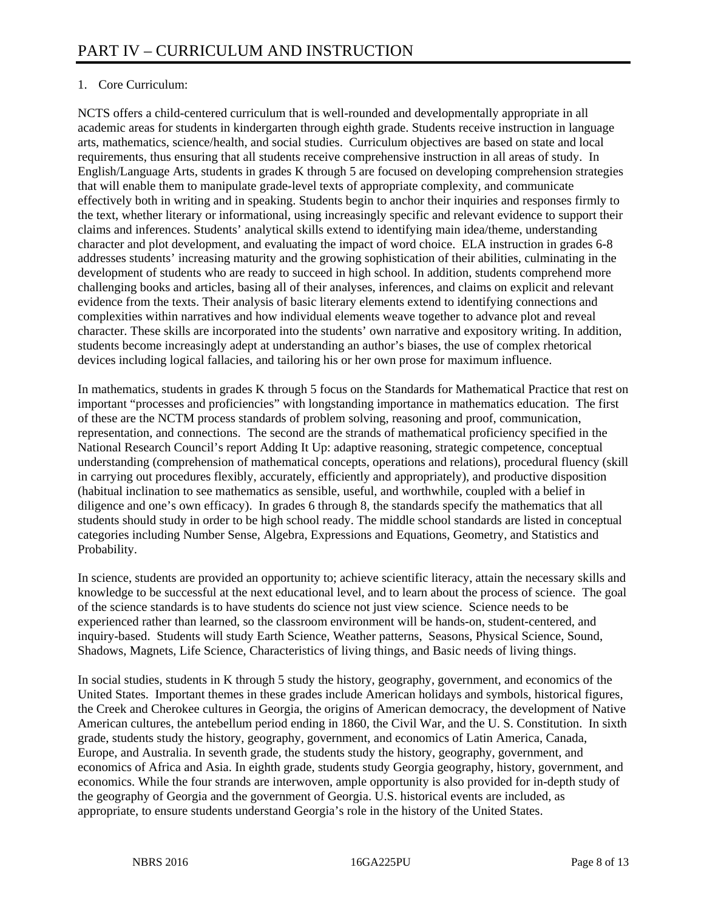# 1. Core Curriculum:

NCTS offers a child-centered curriculum that is well-rounded and developmentally appropriate in all academic areas for students in kindergarten through eighth grade. Students receive instruction in language arts, mathematics, science/health, and social studies. Curriculum objectives are based on state and local requirements, thus ensuring that all students receive comprehensive instruction in all areas of study. In English/Language Arts, students in grades K through 5 are focused on developing comprehension strategies that will enable them to manipulate grade-level texts of appropriate complexity, and communicate effectively both in writing and in speaking. Students begin to anchor their inquiries and responses firmly to the text, whether literary or informational, using increasingly specific and relevant evidence to support their claims and inferences. Students' analytical skills extend to identifying main idea/theme, understanding character and plot development, and evaluating the impact of word choice. ELA instruction in grades 6-8 addresses students' increasing maturity and the growing sophistication of their abilities, culminating in the development of students who are ready to succeed in high school. In addition, students comprehend more challenging books and articles, basing all of their analyses, inferences, and claims on explicit and relevant evidence from the texts. Their analysis of basic literary elements extend to identifying connections and complexities within narratives and how individual elements weave together to advance plot and reveal character. These skills are incorporated into the students' own narrative and expository writing. In addition, students become increasingly adept at understanding an author's biases, the use of complex rhetorical devices including logical fallacies, and tailoring his or her own prose for maximum influence.

In mathematics, students in grades K through 5 focus on the Standards for Mathematical Practice that rest on important "processes and proficiencies" with longstanding importance in mathematics education. The first of these are the NCTM process standards of problem solving, reasoning and proof, communication, representation, and connections. The second are the strands of mathematical proficiency specified in the National Research Council's report Adding It Up: adaptive reasoning, strategic competence, conceptual understanding (comprehension of mathematical concepts, operations and relations), procedural fluency (skill in carrying out procedures flexibly, accurately, efficiently and appropriately), and productive disposition (habitual inclination to see mathematics as sensible, useful, and worthwhile, coupled with a belief in diligence and one's own efficacy). In grades 6 through 8, the standards specify the mathematics that all students should study in order to be high school ready. The middle school standards are listed in conceptual categories including Number Sense, Algebra, Expressions and Equations, Geometry, and Statistics and Probability.

In science, students are provided an opportunity to; achieve scientific literacy, attain the necessary skills and knowledge to be successful at the next educational level, and to learn about the process of science. The goal of the science standards is to have students do science not just view science. Science needs to be experienced rather than learned, so the classroom environment will be hands-on, student-centered, and inquiry-based. Students will study Earth Science, Weather patterns, Seasons, Physical Science, Sound, Shadows, Magnets, Life Science, Characteristics of living things, and Basic needs of living things.

In social studies, students in K through 5 study the history, geography, government, and economics of the United States. Important themes in these grades include American holidays and symbols, historical figures, the Creek and Cherokee cultures in Georgia, the origins of American democracy, the development of Native American cultures, the antebellum period ending in 1860, the Civil War, and the U. S. Constitution. In sixth grade, students study the history, geography, government, and economics of Latin America, Canada, Europe, and Australia. In seventh grade, the students study the history, geography, government, and economics of Africa and Asia. In eighth grade, students study Georgia geography, history, government, and economics. While the four strands are interwoven, ample opportunity is also provided for in-depth study of the geography of Georgia and the government of Georgia. U.S. historical events are included, as appropriate, to ensure students understand Georgia's role in the history of the United States.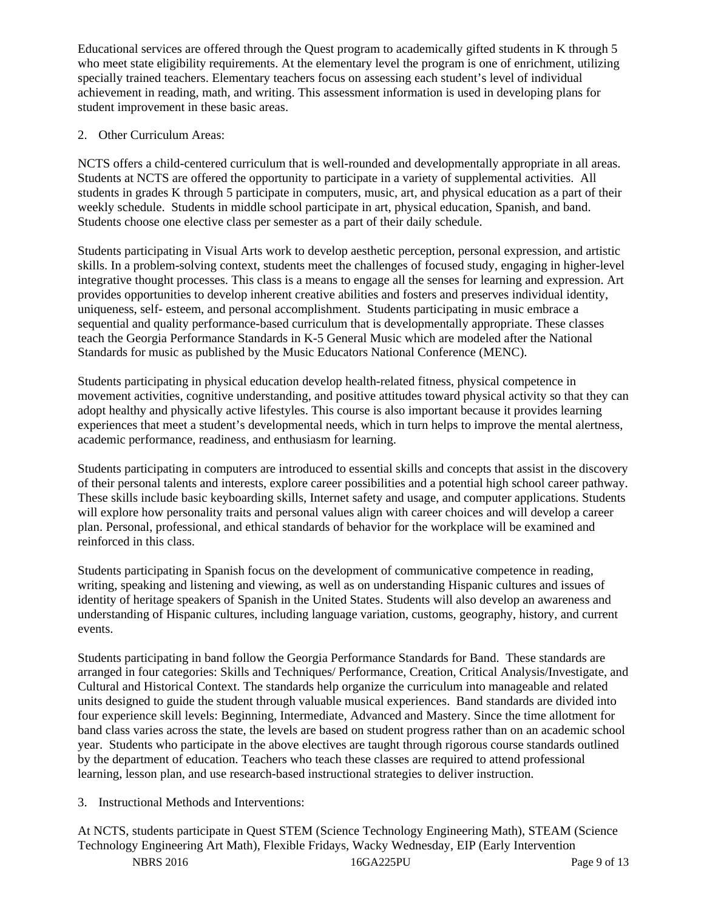Educational services are offered through the Quest program to academically gifted students in K through 5 who meet state eligibility requirements. At the elementary level the program is one of enrichment, utilizing specially trained teachers. Elementary teachers focus on assessing each student's level of individual achievement in reading, math, and writing. This assessment information is used in developing plans for student improvement in these basic areas.

# 2. Other Curriculum Areas:

NCTS offers a child-centered curriculum that is well-rounded and developmentally appropriate in all areas. Students at NCTS are offered the opportunity to participate in a variety of supplemental activities. All students in grades K through 5 participate in computers, music, art, and physical education as a part of their weekly schedule. Students in middle school participate in art, physical education, Spanish, and band. Students choose one elective class per semester as a part of their daily schedule.

Students participating in Visual Arts work to develop aesthetic perception, personal expression, and artistic skills. In a problem-solving context, students meet the challenges of focused study, engaging in higher-level integrative thought processes. This class is a means to engage all the senses for learning and expression. Art provides opportunities to develop inherent creative abilities and fosters and preserves individual identity, uniqueness, self- esteem, and personal accomplishment. Students participating in music embrace a sequential and quality performance-based curriculum that is developmentally appropriate. These classes teach the Georgia Performance Standards in K-5 General Music which are modeled after the National Standards for music as published by the Music Educators National Conference (MENC).

Students participating in physical education develop health-related fitness, physical competence in movement activities, cognitive understanding, and positive attitudes toward physical activity so that they can adopt healthy and physically active lifestyles. This course is also important because it provides learning experiences that meet a student's developmental needs, which in turn helps to improve the mental alertness, academic performance, readiness, and enthusiasm for learning.

Students participating in computers are introduced to essential skills and concepts that assist in the discovery of their personal talents and interests, explore career possibilities and a potential high school career pathway. These skills include basic keyboarding skills, Internet safety and usage, and computer applications. Students will explore how personality traits and personal values align with career choices and will develop a career plan. Personal, professional, and ethical standards of behavior for the workplace will be examined and reinforced in this class.

Students participating in Spanish focus on the development of communicative competence in reading, writing, speaking and listening and viewing, as well as on understanding Hispanic cultures and issues of identity of heritage speakers of Spanish in the United States. Students will also develop an awareness and understanding of Hispanic cultures, including language variation, customs, geography, history, and current events.

Students participating in band follow the Georgia Performance Standards for Band. These standards are arranged in four categories: Skills and Techniques/ Performance, Creation, Critical Analysis/Investigate, and Cultural and Historical Context. The standards help organize the curriculum into manageable and related units designed to guide the student through valuable musical experiences. Band standards are divided into four experience skill levels: Beginning, Intermediate, Advanced and Mastery. Since the time allotment for band class varies across the state, the levels are based on student progress rather than on an academic school year. Students who participate in the above electives are taught through rigorous course standards outlined by the department of education. Teachers who teach these classes are required to attend professional learning, lesson plan, and use research-based instructional strategies to deliver instruction.

# 3. Instructional Methods and Interventions:

At NCTS, students participate in Quest STEM (Science Technology Engineering Math), STEAM (Science Technology Engineering Art Math), Flexible Fridays, Wacky Wednesday, EIP (Early Intervention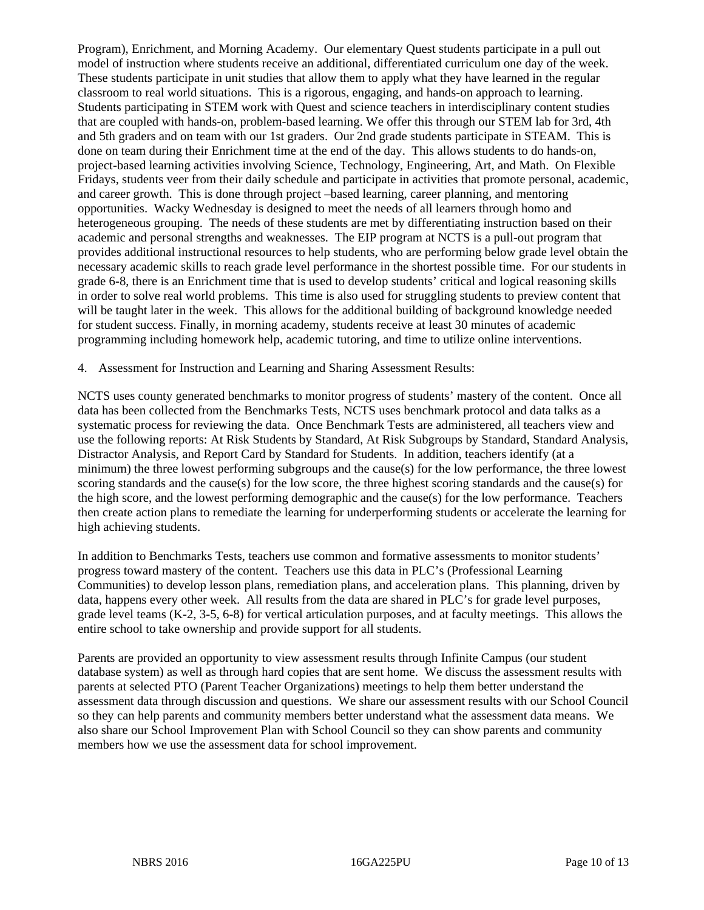Program), Enrichment, and Morning Academy. Our elementary Quest students participate in a pull out model of instruction where students receive an additional, differentiated curriculum one day of the week. These students participate in unit studies that allow them to apply what they have learned in the regular classroom to real world situations. This is a rigorous, engaging, and hands-on approach to learning. Students participating in STEM work with Quest and science teachers in interdisciplinary content studies that are coupled with hands-on, problem-based learning. We offer this through our STEM lab for 3rd, 4th and 5th graders and on team with our 1st graders. Our 2nd grade students participate in STEAM. This is done on team during their Enrichment time at the end of the day. This allows students to do hands-on, project-based learning activities involving Science, Technology, Engineering, Art, and Math. On Flexible Fridays, students veer from their daily schedule and participate in activities that promote personal, academic, and career growth. This is done through project –based learning, career planning, and mentoring opportunities. Wacky Wednesday is designed to meet the needs of all learners through homo and heterogeneous grouping. The needs of these students are met by differentiating instruction based on their academic and personal strengths and weaknesses. The EIP program at NCTS is a pull-out program that provides additional instructional resources to help students, who are performing below grade level obtain the necessary academic skills to reach grade level performance in the shortest possible time. For our students in grade 6-8, there is an Enrichment time that is used to develop students' critical and logical reasoning skills in order to solve real world problems. This time is also used for struggling students to preview content that will be taught later in the week. This allows for the additional building of background knowledge needed for student success. Finally, in morning academy, students receive at least 30 minutes of academic programming including homework help, academic tutoring, and time to utilize online interventions.

4. Assessment for Instruction and Learning and Sharing Assessment Results:

NCTS uses county generated benchmarks to monitor progress of students' mastery of the content. Once all data has been collected from the Benchmarks Tests, NCTS uses benchmark protocol and data talks as a systematic process for reviewing the data. Once Benchmark Tests are administered, all teachers view and use the following reports: At Risk Students by Standard, At Risk Subgroups by Standard, Standard Analysis, Distractor Analysis, and Report Card by Standard for Students. In addition, teachers identify (at a minimum) the three lowest performing subgroups and the cause(s) for the low performance, the three lowest scoring standards and the cause(s) for the low score, the three highest scoring standards and the cause(s) for the high score, and the lowest performing demographic and the cause(s) for the low performance. Teachers then create action plans to remediate the learning for underperforming students or accelerate the learning for high achieving students.

In addition to Benchmarks Tests, teachers use common and formative assessments to monitor students' progress toward mastery of the content. Teachers use this data in PLC's (Professional Learning Communities) to develop lesson plans, remediation plans, and acceleration plans. This planning, driven by data, happens every other week. All results from the data are shared in PLC's for grade level purposes, grade level teams (K-2, 3-5, 6-8) for vertical articulation purposes, and at faculty meetings. This allows the entire school to take ownership and provide support for all students.

Parents are provided an opportunity to view assessment results through Infinite Campus (our student database system) as well as through hard copies that are sent home. We discuss the assessment results with parents at selected PTO (Parent Teacher Organizations) meetings to help them better understand the assessment data through discussion and questions. We share our assessment results with our School Council so they can help parents and community members better understand what the assessment data means. We also share our School Improvement Plan with School Council so they can show parents and community members how we use the assessment data for school improvement.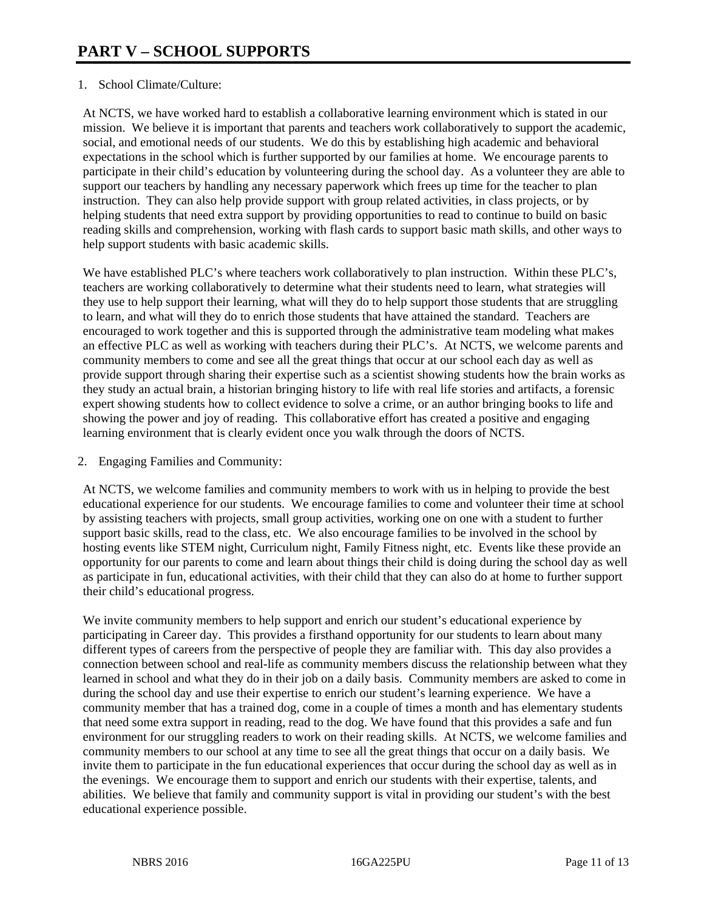## 1. School Climate/Culture:

At NCTS, we have worked hard to establish a collaborative learning environment which is stated in our mission. We believe it is important that parents and teachers work collaboratively to support the academic, social, and emotional needs of our students. We do this by establishing high academic and behavioral expectations in the school which is further supported by our families at home. We encourage parents to participate in their child's education by volunteering during the school day. As a volunteer they are able to support our teachers by handling any necessary paperwork which frees up time for the teacher to plan instruction. They can also help provide support with group related activities, in class projects, or by helping students that need extra support by providing opportunities to read to continue to build on basic reading skills and comprehension, working with flash cards to support basic math skills, and other ways to help support students with basic academic skills.

We have established PLC's where teachers work collaboratively to plan instruction. Within these PLC's, teachers are working collaboratively to determine what their students need to learn, what strategies will they use to help support their learning, what will they do to help support those students that are struggling to learn, and what will they do to enrich those students that have attained the standard. Teachers are encouraged to work together and this is supported through the administrative team modeling what makes an effective PLC as well as working with teachers during their PLC's. At NCTS, we welcome parents and community members to come and see all the great things that occur at our school each day as well as provide support through sharing their expertise such as a scientist showing students how the brain works as they study an actual brain, a historian bringing history to life with real life stories and artifacts, a forensic expert showing students how to collect evidence to solve a crime, or an author bringing books to life and showing the power and joy of reading. This collaborative effort has created a positive and engaging learning environment that is clearly evident once you walk through the doors of NCTS.

2. Engaging Families and Community:

At NCTS, we welcome families and community members to work with us in helping to provide the best educational experience for our students. We encourage families to come and volunteer their time at school by assisting teachers with projects, small group activities, working one on one with a student to further support basic skills, read to the class, etc. We also encourage families to be involved in the school by hosting events like STEM night, Curriculum night, Family Fitness night, etc. Events like these provide an opportunity for our parents to come and learn about things their child is doing during the school day as well as participate in fun, educational activities, with their child that they can also do at home to further support their child's educational progress.

We invite community members to help support and enrich our student's educational experience by participating in Career day. This provides a firsthand opportunity for our students to learn about many different types of careers from the perspective of people they are familiar with. This day also provides a connection between school and real-life as community members discuss the relationship between what they learned in school and what they do in their job on a daily basis. Community members are asked to come in during the school day and use their expertise to enrich our student's learning experience. We have a community member that has a trained dog, come in a couple of times a month and has elementary students that need some extra support in reading, read to the dog. We have found that this provides a safe and fun environment for our struggling readers to work on their reading skills. At NCTS, we welcome families and community members to our school at any time to see all the great things that occur on a daily basis. We invite them to participate in the fun educational experiences that occur during the school day as well as in the evenings. We encourage them to support and enrich our students with their expertise, talents, and abilities. We believe that family and community support is vital in providing our student's with the best educational experience possible.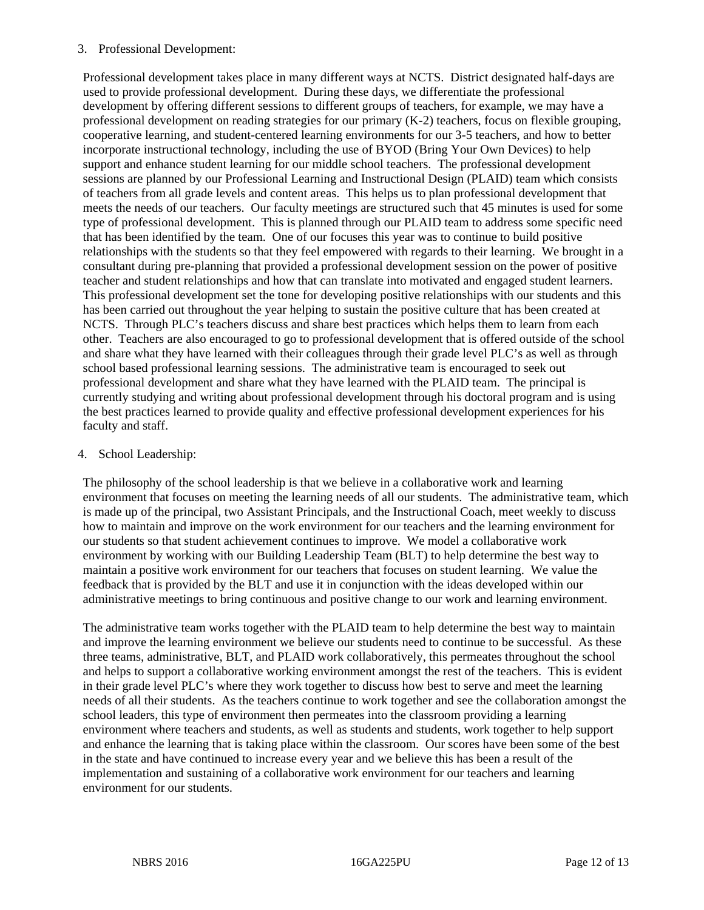#### 3. Professional Development:

Professional development takes place in many different ways at NCTS. District designated half-days are used to provide professional development. During these days, we differentiate the professional development by offering different sessions to different groups of teachers, for example, we may have a professional development on reading strategies for our primary (K-2) teachers, focus on flexible grouping, cooperative learning, and student-centered learning environments for our 3-5 teachers, and how to better incorporate instructional technology, including the use of BYOD (Bring Your Own Devices) to help support and enhance student learning for our middle school teachers. The professional development sessions are planned by our Professional Learning and Instructional Design (PLAID) team which consists of teachers from all grade levels and content areas. This helps us to plan professional development that meets the needs of our teachers. Our faculty meetings are structured such that 45 minutes is used for some type of professional development. This is planned through our PLAID team to address some specific need that has been identified by the team. One of our focuses this year was to continue to build positive relationships with the students so that they feel empowered with regards to their learning. We brought in a consultant during pre-planning that provided a professional development session on the power of positive teacher and student relationships and how that can translate into motivated and engaged student learners. This professional development set the tone for developing positive relationships with our students and this has been carried out throughout the year helping to sustain the positive culture that has been created at NCTS. Through PLC's teachers discuss and share best practices which helps them to learn from each other. Teachers are also encouraged to go to professional development that is offered outside of the school and share what they have learned with their colleagues through their grade level PLC's as well as through school based professional learning sessions. The administrative team is encouraged to seek out professional development and share what they have learned with the PLAID team. The principal is currently studying and writing about professional development through his doctoral program and is using the best practices learned to provide quality and effective professional development experiences for his faculty and staff.

#### 4. School Leadership:

The philosophy of the school leadership is that we believe in a collaborative work and learning environment that focuses on meeting the learning needs of all our students. The administrative team, which is made up of the principal, two Assistant Principals, and the Instructional Coach, meet weekly to discuss how to maintain and improve on the work environment for our teachers and the learning environment for our students so that student achievement continues to improve. We model a collaborative work environment by working with our Building Leadership Team (BLT) to help determine the best way to maintain a positive work environment for our teachers that focuses on student learning. We value the feedback that is provided by the BLT and use it in conjunction with the ideas developed within our administrative meetings to bring continuous and positive change to our work and learning environment.

The administrative team works together with the PLAID team to help determine the best way to maintain and improve the learning environment we believe our students need to continue to be successful. As these three teams, administrative, BLT, and PLAID work collaboratively, this permeates throughout the school and helps to support a collaborative working environment amongst the rest of the teachers. This is evident in their grade level PLC's where they work together to discuss how best to serve and meet the learning needs of all their students. As the teachers continue to work together and see the collaboration amongst the school leaders, this type of environment then permeates into the classroom providing a learning environment where teachers and students, as well as students and students, work together to help support and enhance the learning that is taking place within the classroom. Our scores have been some of the best in the state and have continued to increase every year and we believe this has been a result of the implementation and sustaining of a collaborative work environment for our teachers and learning environment for our students.